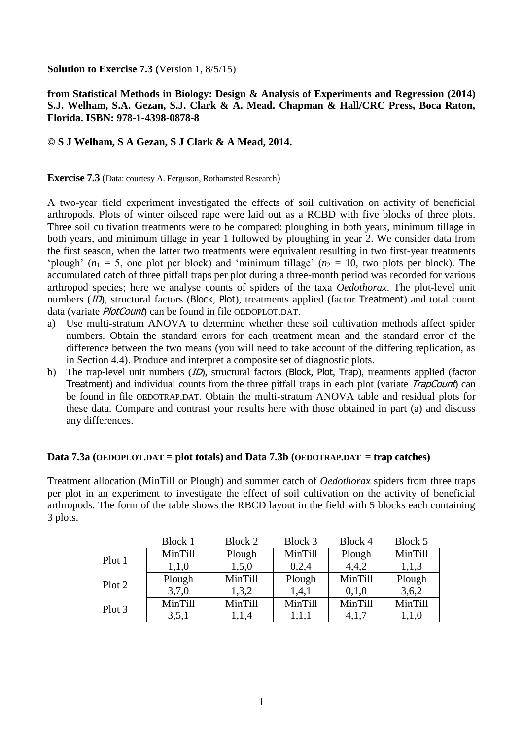**Solution to Exercise 7.3 (**Version 1, 8/5/15)

## **from Statistical Methods in Biology: Design & Analysis of Experiments and Regression (2014) S.J. Welham, S.A. Gezan, S.J. Clark & A. Mead. Chapman & Hall/CRC Press, Boca Raton, Florida. ISBN: 978-1-4398-0878-8**

## **© S J Welham, S A Gezan, S J Clark & A Mead, 2014.**

**Exercise 7.3** (Data: courtesy A. Ferguson, Rothamsted Research)

A two-year field experiment investigated the effects of soil cultivation on activity of beneficial arthropods. Plots of winter oilseed rape were laid out as a RCBD with five blocks of three plots. Three soil cultivation treatments were to be compared: ploughing in both years, minimum tillage in both years, and minimum tillage in year 1 followed by ploughing in year 2. We consider data from the first season, when the latter two treatments were equivalent resulting in two first-year treatments 'plough' ( $n_1 = 5$ , one plot per block) and 'minimum tillage' ( $n_2 = 10$ , two plots per block). The accumulated catch of three pitfall traps per plot during a three-month period was recorded for various arthropod species; here we analyse counts of spiders of the taxa *Oedothorax*. The plot-level unit numbers (ID), structural factors (Block, Plot), treatments applied (factor Treatment) and total count data (variate *PlotCount*) can be found in file OEDOPLOT.DAT.

- a) Use multi-stratum ANOVA to determine whether these soil cultivation methods affect spider numbers. Obtain the standard errors for each treatment mean and the standard error of the difference between the two means (you will need to take account of the differing replication, as in Section 4.4). Produce and interpret a composite set of diagnostic plots.
- b) The trap-level unit numbers (*ID*), structural factors (Block, Plot, Trap), treatments applied (factor Treatment) and individual counts from the three pitfall traps in each plot (variate *TrapCount*) can be found in file OEDOTRAP.DAT. Obtain the multi-stratum ANOVA table and residual plots for these data. Compare and contrast your results here with those obtained in part (a) and discuss any differences.

## **Data 7.3a (OEDOPLOT.DAT = plot totals) and Data 7.3b (OEDOTRAP.DAT = trap catches)**

Treatment allocation (MinTill or Plough) and summer catch of *Oedothorax* spiders from three traps per plot in an experiment to investigate the effect of soil cultivation on the activity of beneficial arthropods. The form of the table shows the RBCD layout in the field with 5 blocks each containing 3 plots.

|        | Block 1 | Block 2 | Block 3 | Block 4 | Block 5 |
|--------|---------|---------|---------|---------|---------|
| Plot 1 | MinTill | Plough  | MinTill | Plough  | MinTill |
|        | 1,1,0   | 1,5,0   | 0,2,4   | 4,4,2   | 1,1,3   |
| Plot 2 | Plough  | MinTill | Plough  | MinTill | Plough  |
|        | 3,7,0   | 1,3,2   | 1,4,1   | 0,1,0   | 3,6,2   |
| Plot 3 | MinTill | MinTill | MinTill | MinTill | MinTill |
|        | 3,5,1   | 1,1,4   | 1,1,1   | 4,1,7   | 1,1,0   |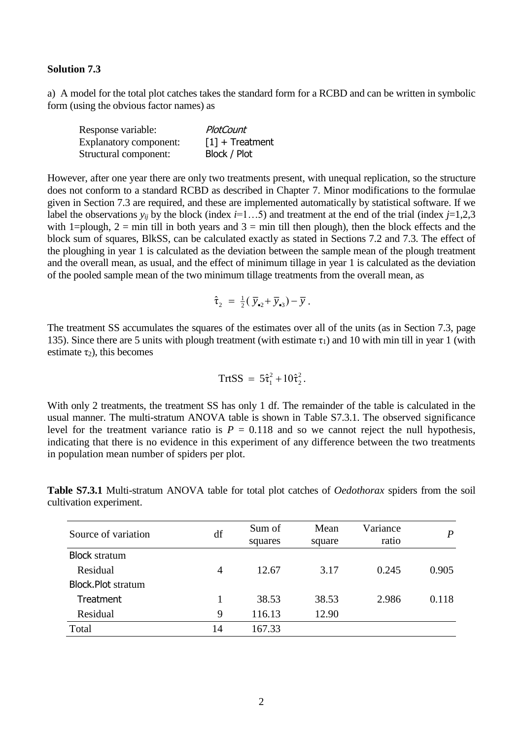## **Solution 7.3**

a) A model for the total plot catches takes the standard form for a RCBD and can be written in symbolic form (using the obvious factor names) as

| Response variable:     | PlotCount                     |
|------------------------|-------------------------------|
| Explanatory component: | $\lceil 1 \rceil$ + Treatment |
| Structural component:  | Block / Plot                  |

However, after one year there are only two treatments present, with unequal replication, so the structure does not conform to a standard RCBD as described in Chapter 7. Minor modifications to the formulae given in Section 7.3 are required, and these are implemented automatically by statistical software. If we label the observations  $y_{ij}$  by the block (index *i*=1...5) and treatment at the end of the trial (index *j*=1,2,3 with 1=plough, 2 = min till in both years and  $3 = \min$  till then plough), then the block effects and the block sum of squares, BlkSS, can be calculated exactly as stated in Sections 7.2 and 7.3. The effect of the ploughing in year 1 is calculated as the deviation between the sample mean of the plough treatment and the overall mean, as usual, and the effect of minimum tillage in year 1 is calculated as the deviation of the pooled sample mean of the two minimum tillage treatments from the overall mean, as

$$
\hat{\tau}_2 = \frac{1}{2} (\overline{y}_{\bullet 2} + \overline{y}_{\bullet 3}) - \overline{y} .
$$

The treatment SS accumulates the squares of the estimates over all of the units (as in Section 7.3, page 135). Since there are 5 units with plough treatment (with estimate  $\tau_1$ ) and 10 with min till in year 1 (with estimate  $\tau_2$ ), this becomes

$$
TrtSS = 5\hat{\tau}_1^2 + 10\hat{\tau}_2^2.
$$

With only 2 treatments, the treatment SS has only 1 df. The remainder of the table is calculated in the usual manner. The multi-stratum ANOVA table is shown in Table S7.3.1. The observed significance level for the treatment variance ratio is  $P = 0.118$  and so we cannot reject the null hypothesis, indicating that there is no evidence in this experiment of any difference between the two treatments in population mean number of spiders per plot.

| Source of variation       | df | Sum of<br>squares | Mean<br>square | Variance<br>ratio | P     |
|---------------------------|----|-------------------|----------------|-------------------|-------|
| <b>Block stratum</b>      |    |                   |                |                   |       |
| Residual                  | 4  | 12.67             | 3.17           | 0.245             | 0.905 |
| <b>Block.Plot stratum</b> |    |                   |                |                   |       |
| Treatment                 |    | 38.53             | 38.53          | 2.986             | 0.118 |
| Residual                  | 9  | 116.13            | 12.90          |                   |       |
| Total                     | 14 | 167.33            |                |                   |       |

**Table S7.3.1** Multi-stratum ANOVA table for total plot catches of *Oedothorax* spiders from the soil cultivation experiment.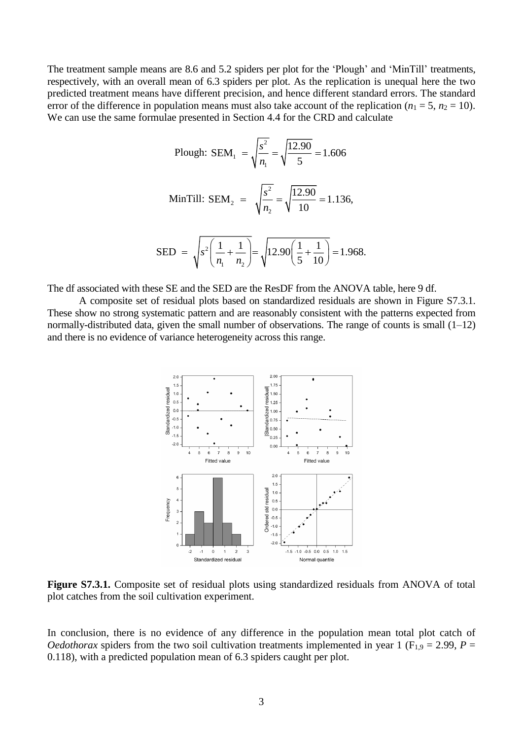The treatment sample means are 8.6 and 5.2 spiders per plot for the 'Plough' and 'MinTill' treatments, respectively, with an overall mean of 6.3 spiders per plot. As the replication is unequal here the two predicted treatment means have different precision, and hence different standard errors. The standard error of the difference in population means must also take account of the replication ( $n_1 = 5$ ,  $n_2 = 10$ ). We can use the same formulae presented in Section 4.4 for the CRD and calculate

Plough: SEM<sub>1</sub> = 
$$
\sqrt{\frac{s^2}{n_1}} = \sqrt{\frac{12.90}{5}} = 1.606
$$

\nMinTill: SEM<sub>2</sub> = 
$$
\sqrt{\frac{s^2}{n_2}} = \sqrt{\frac{12.90}{10}} = 1.136,
$$

\nSED = 
$$
\sqrt{s^2 \left(\frac{1}{n_1} + \frac{1}{n_2}\right)} = \sqrt{12.90 \left(\frac{1}{5} + \frac{1}{10}\right)} = 1.968.
$$

The df associated with these SE and the SED are the ResDF from the ANOVA table, here 9 df.

 $1 \quad \cdot \cdot \cdot 2$ 

*n n*

A composite set of residual plots based on standardized residuals are shown in Figure S7.3.1. These show no strong systematic pattern and are reasonably consistent with the patterns expected from normally-distributed data, given the small number of observations. The range of counts is small (1–12) and there is no evidence of variance heterogeneity across this range.

 $s^{-}$  $\left(\frac{-}{n_{0}}+\frac{1}{n_{0}}\right)$  =  $\sqrt{12.90}$  $\left(\frac{-}{5}+\frac{1}{10}\right)$ 



**Figure S7.3.1.** Composite set of residual plots using standardized residuals from ANOVA of total plot catches from the soil cultivation experiment.

In conclusion, there is no evidence of any difference in the population mean total plot catch of *Oedothorax* spiders from the two soil cultivation treatments implemented in year 1 ( $F_{1,9} = 2.99$ , *P* = 0.118), with a predicted population mean of 6.3 spiders caught per plot.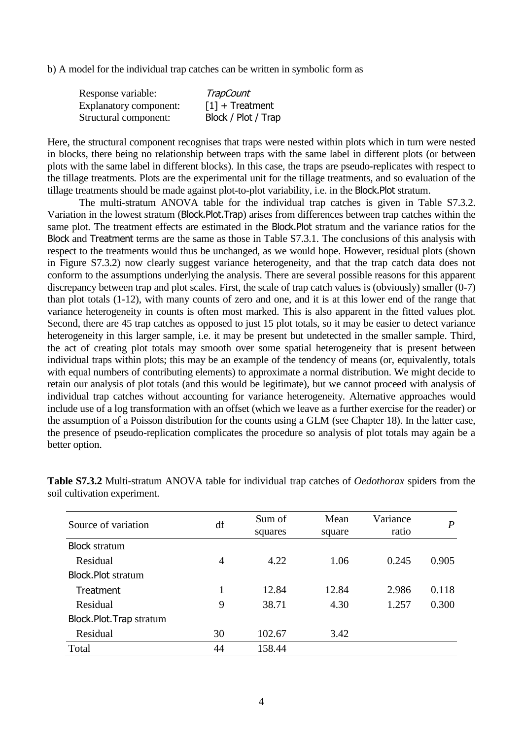b) A model for the individual trap catches can be written in symbolic form as

| Response variable:            | TrapCount                     |
|-------------------------------|-------------------------------|
| <b>Explanatory component:</b> | $\lceil 1 \rceil$ + Treatment |
| Structural component:         | Block / Plot / Trap           |

Here, the structural component recognises that traps were nested within plots which in turn were nested in blocks, there being no relationship between traps with the same label in different plots (or between plots with the same label in different blocks). In this case, the traps are pseudo-replicates with respect to the tillage treatments. Plots are the experimental unit for the tillage treatments, and so evaluation of the tillage treatments should be made against plot-to-plot variability, i.e. in the Block.Plot stratum.

The multi-stratum ANOVA table for the individual trap catches is given in Table S7.3.2. Variation in the lowest stratum (Block.Plot.Trap) arises from differences between trap catches within the same plot. The treatment effects are estimated in the Block.Plot stratum and the variance ratios for the Block and Treatment terms are the same as those in Table S7.3.1. The conclusions of this analysis with respect to the treatments would thus be unchanged, as we would hope. However, residual plots (shown in Figure S7.3.2) now clearly suggest variance heterogeneity, and that the trap catch data does not conform to the assumptions underlying the analysis. There are several possible reasons for this apparent discrepancy between trap and plot scales. First, the scale of trap catch values is (obviously) smaller (0-7) than plot totals (1-12), with many counts of zero and one, and it is at this lower end of the range that variance heterogeneity in counts is often most marked. This is also apparent in the fitted values plot. Second, there are 45 trap catches as opposed to just 15 plot totals, so it may be easier to detect variance heterogeneity in this larger sample, i.e. it may be present but undetected in the smaller sample. Third, the act of creating plot totals may smooth over some spatial heterogeneity that is present between individual traps within plots; this may be an example of the tendency of means (or, equivalently, totals with equal numbers of contributing elements) to approximate a normal distribution. We might decide to retain our analysis of plot totals (and this would be legitimate), but we cannot proceed with analysis of individual trap catches without accounting for variance heterogeneity. Alternative approaches would include use of a log transformation with an offset (which we leave as a further exercise for the reader) or the assumption of a Poisson distribution for the counts using a GLM (see Chapter 18). In the latter case, the presence of pseudo-replication complicates the procedure so analysis of plot totals may again be a better option.

| Source of variation       | df             | Sum of<br>squares | Mean<br>square | Variance<br>ratio | P     |
|---------------------------|----------------|-------------------|----------------|-------------------|-------|
| <b>Block stratum</b>      |                |                   |                |                   |       |
| Residual                  | $\overline{4}$ | 4.22              | 1.06           | 0.245             | 0.905 |
| <b>Block.Plot stratum</b> |                |                   |                |                   |       |
| Treatment                 |                | 12.84             | 12.84          | 2.986             | 0.118 |
| Residual                  | 9              | 38.71             | 4.30           | 1.257             | 0.300 |
| Block.Plot.Trap stratum   |                |                   |                |                   |       |
| Residual                  | 30             | 102.67            | 3.42           |                   |       |
| Total                     | 44             | 158.44            |                |                   |       |

**Table S7.3.2** Multi-stratum ANOVA table for individual trap catches of *Oedothorax* spiders from the soil cultivation experiment.